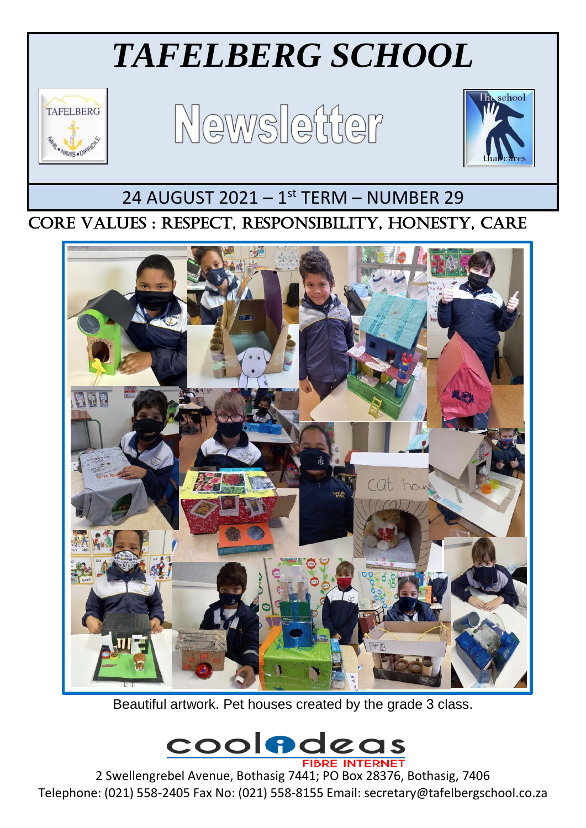# *TAFELBERG SCHOOL*



Newsletter



### 24 AUGUST 2021 - 1<sup>st</sup> TERM - NUMBER 29

#### $\overline{\phantom{a}}$ CORE VALUES : RESPECT, RESPONSIBILITY, HONESTY, CARE



Beautiful artwork. Pet houses created by the grade 3 class.



2 Swellengrebel Avenue, Bothasig 7441; PO Box 28376, Bothasig, 7406 Telephone: (021) 558-2405 Fax No: (021) 558-8155 Email: secretary@tafelbergschool.co.za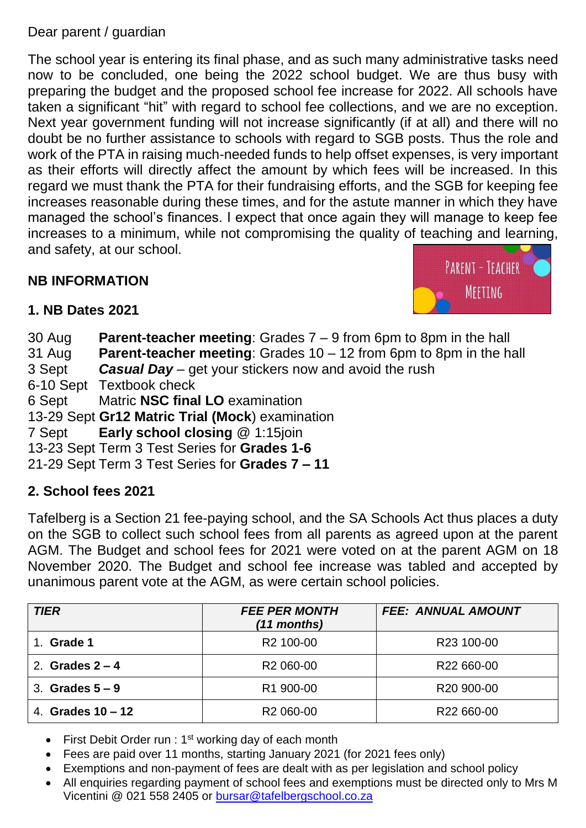#### Dear parent / guardian

The school year is entering its final phase, and as such many administrative tasks need now to be concluded, one being the 2022 school budget. We are thus busy with preparing the budget and the proposed school fee increase for 2022. All schools have taken a significant "hit" with regard to school fee collections, and we are no exception. Next year government funding will not increase significantly (if at all) and there will no doubt be no further assistance to schools with regard to SGB posts. Thus the role and work of the PTA in raising much-needed funds to help offset expenses, is very important as their efforts will directly affect the amount by which fees will be increased. In this regard we must thank the PTA for their fundraising efforts, and the SGB for keeping fee increases reasonable during these times, and for the astute manner in which they have managed the school's finances. I expect that once again they will manage to keep fee increases to a minimum, while not compromising the quality of teaching and learning, and safety, at our school.

#### **NB INFORMATION**



#### **1. NB Dates 2021**

30 Aug **Parent-teacher meeting**: Grades 7 – 9 from 6pm to 8pm in the hall 31 Aug **Parent-teacher meeting**: Grades 10 – 12 from 6pm to 8pm in the hall 3 Sept *Casual Day* – get your stickers now and avoid the rush 6-10 Sept Textbook check 6 Sept Matric **NSC final LO** examination 13-29 Sept **Gr12 Matric Trial (Mock**) examination 7 Sept **Early school closing** @ 1:15join 13-23 Sept Term 3 Test Series for **Grades 1-6** 21-29 Sept Term 3 Test Series for **Grades 7 – 11**

#### **2. School fees 2021**

Tafelberg is a Section 21 fee-paying school, and the SA Schools Act thus places a duty on the SGB to collect such school fees from all parents as agreed upon at the parent AGM. The Budget and school fees for 2021 were voted on at the parent AGM on 18 November 2020. The Budget and school fee increase was tabled and accepted by unanimous parent vote at the AGM, as were certain school policies.

| <b>TIER</b>         | <b>FEE PER MONTH</b><br>$(11$ months) | <b>FEE: ANNUAL AMOUNT</b> |
|---------------------|---------------------------------------|---------------------------|
| Grade 1             | R <sub>2</sub> 100-00                 | R23 100-00                |
| 2. Grades $2 - 4$   | R <sub>2</sub> 060-00                 | R22 660-00                |
| 3. Grades $5-9$     | R1 900-00                             | R <sub>20</sub> 900-00    |
| 4. Grades $10 - 12$ | R <sub>2</sub> 060-00                 | R22 660-00                |

- First Debit Order run :  $1<sup>st</sup>$  working day of each month
- Fees are paid over 11 months, starting January 2021 (for 2021 fees only)
- Exemptions and non-payment of fees are dealt with as per legislation and school policy
- All enquiries regarding payment of school fees and exemptions must be directed only to Mrs M Vicentini @ 021 558 2405 or [bursar@tafelbergschool.co.za](mailto:bursar@tafelbergschool.co.za)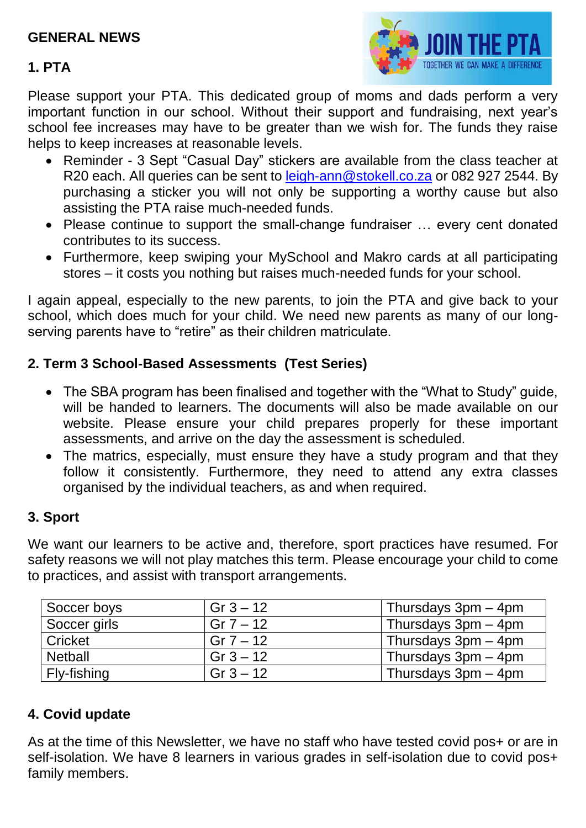#### **GENERAL NEWS**

#### **1. PTA**



Please support your PTA. This dedicated group of moms and dads perform a very important function in our school. Without their support and fundraising, next year's school fee increases may have to be greater than we wish for. The funds they raise helps to keep increases at reasonable levels.

- Reminder 3 Sept "Casual Day" stickers are available from the class teacher at R20 each. All queries can be sent to [leigh-ann@stokell.co.za](mailto:leigh-ann@stokell.co.za) or 082 927 2544. By purchasing a sticker you will not only be supporting a worthy cause but also assisting the PTA raise much-needed funds.
- Please continue to support the small-change fundraiser … every cent donated contributes to its success.
- Furthermore, keep swiping your MySchool and Makro cards at all participating stores – it costs you nothing but raises much-needed funds for your school.

I again appeal, especially to the new parents, to join the PTA and give back to your school, which does much for your child. We need new parents as many of our longserving parents have to "retire" as their children matriculate.

#### **2. Term 3 School-Based Assessments (Test Series)**

- The SBA program has been finalised and together with the "What to Study" guide, will be handed to learners. The documents will also be made available on our website. Please ensure your child prepares properly for these important assessments, and arrive on the day the assessment is scheduled.
- The matrics, especially, must ensure they have a study program and that they follow it consistently. Furthermore, they need to attend any extra classes organised by the individual teachers, as and when required.

#### **3. Sport**

We want our learners to be active and, therefore, sport practices have resumed. For safety reasons we will not play matches this term. Please encourage your child to come to practices, and assist with transport arrangements.

| Soccer boys    | Gr $3 - 12$ | Thursdays $3pm - 4pm$ |
|----------------|-------------|-----------------------|
| Soccer girls   | $Gr 7 - 12$ | Thursdays $3pm - 4pm$ |
| l Cricket      | Gr $7 - 12$ | Thursdays $3pm - 4pm$ |
| <b>Netball</b> | Gr $3 - 12$ | Thursdays 3pm - 4pm   |
| Fly-fishing    | Gr $3 - 12$ | Thursdays $3pm - 4pm$ |

#### **4. Covid update**

As at the time of this Newsletter, we have no staff who have tested covid pos+ or are in self-isolation. We have 8 learners in various grades in self-isolation due to covid pos+ family members.